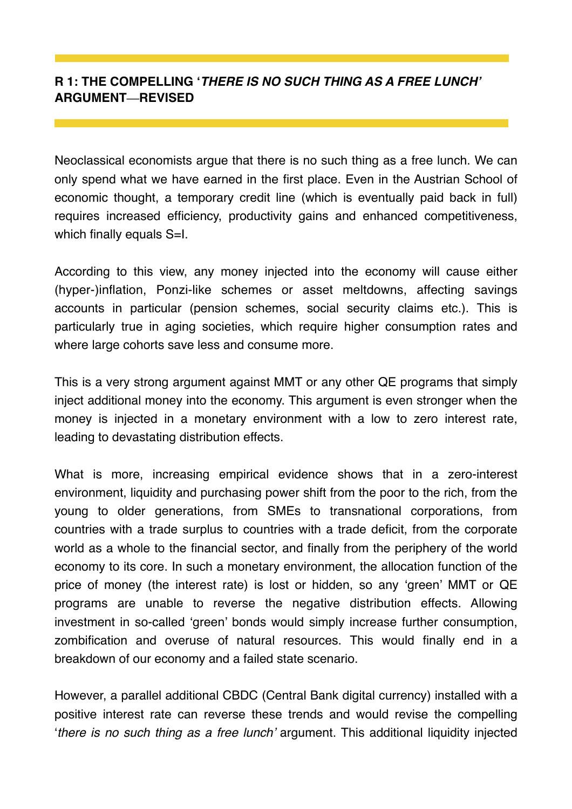## **R 1: THE COMPELLING '***THERE IS NO SUCH THING AS A FREE LUNCH'* **ARGUMENT—REVISED**

Neoclassical economists argue that there is no such thing as a free lunch. We can only spend what we have earned in the first place. Even in the Austrian School of economic thought, a temporary credit line (which is eventually paid back in full) requires increased efficiency, productivity gains and enhanced competitiveness, which finally equals S=I.

According to this view, any money injected into the economy will cause either (hyper-)inflation, Ponzi-like schemes or asset meltdowns, affecting savings accounts in particular (pension schemes, social security claims etc.). This is particularly true in aging societies, which require higher consumption rates and where large cohorts save less and consume more.

This is a very strong argument against MMT or any other QE programs that simply inject additional money into the economy. This argument is even stronger when the money is injected in a monetary environment with a low to zero interest rate, leading to devastating distribution effects.

What is more, increasing empirical evidence shows that in a zero-interest environment, liquidity and purchasing power shift from the poor to the rich, from the young to older generations, from SMEs to transnational corporations, from countries with a trade surplus to countries with a trade deficit, from the corporate world as a whole to the financial sector, and finally from the periphery of the world economy to its core. In such a monetary environment, the allocation function of the price of money (the interest rate) is lost or hidden, so any 'green' MMT or QE programs are unable to reverse the negative distribution effects. Allowing investment in so-called 'green' bonds would simply increase further consumption, zombification and overuse of natural resources. This would finally end in a breakdown of our economy and a failed state scenario.

However, a parallel additional CBDC (Central Bank digital currency) installed with a positive interest rate can reverse these trends and would revise the compelling '*there is no such thing as a free lunch'* argument. This additional liquidity injected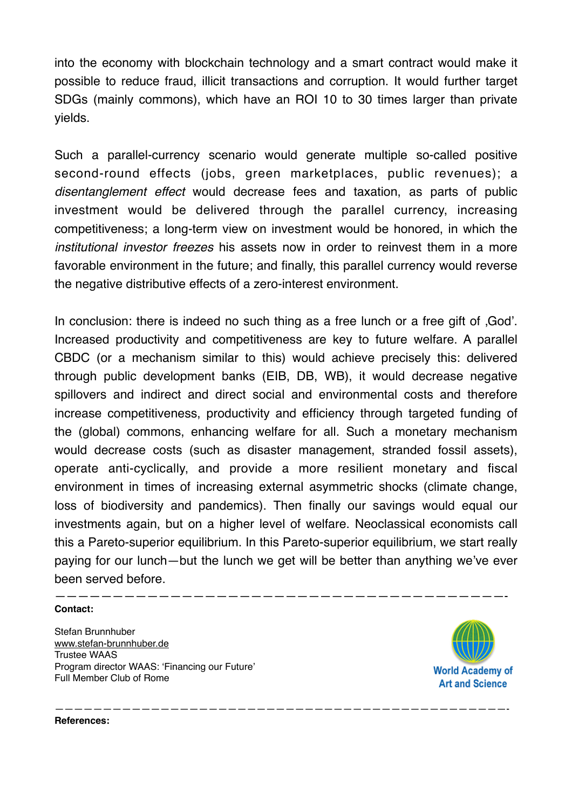into the economy with blockchain technology and a smart contract would make it possible to reduce fraud, illicit transactions and corruption. It would further target SDGs (mainly commons), which have an ROI 10 to 30 times larger than private yields.

Such a parallel-currency scenario would generate multiple so-called positive second-round effects (jobs, green marketplaces, public revenues); a *disentanglement effect* would decrease fees and taxation, as parts of public investment would be delivered through the parallel currency, increasing competitiveness; a long-term view on investment would be honored, in which the *institutional investor freezes* his assets now in order to reinvest them in a more favorable environment in the future; and finally, this parallel currency would reverse the negative distributive effects of a zero-interest environment.

In conclusion: there is indeed no such thing as a free lunch or a free gift of .God'. Increased productivity and competitiveness are key to future welfare. A parallel CBDC (or a mechanism similar to this) would achieve precisely this: delivered through public development banks (EIB, DB, WB), it would decrease negative spillovers and indirect and direct social and environmental costs and therefore increase competitiveness, productivity and efficiency through targeted funding of the (global) commons, enhancing welfare for all. Such a monetary mechanism would decrease costs (such as disaster management, stranded fossil assets), operate anti-cyclically, and provide a more resilient monetary and fiscal environment in times of increasing external asymmetric shocks (climate change, loss of biodiversity and pandemics). Then finally our savings would equal our investments again, but on a higher level of welfare. Neoclassical economists call this a Pareto-superior equilibrium. In this Pareto-superior equilibrium, we start really paying for our lunch—but the lunch we get will be better than anything we've ever been served before.

———————————————————————————————————————————————-

## ———————————————————————————————————————- **Contact:**

Stefan Brunnhuber [www.stefan-brunnhuber.de](http://www.stefan-brunnhuber.de) Trustee WAAS Program director WAAS: 'Financing our Future' Full Member Club of Rome



**References:**